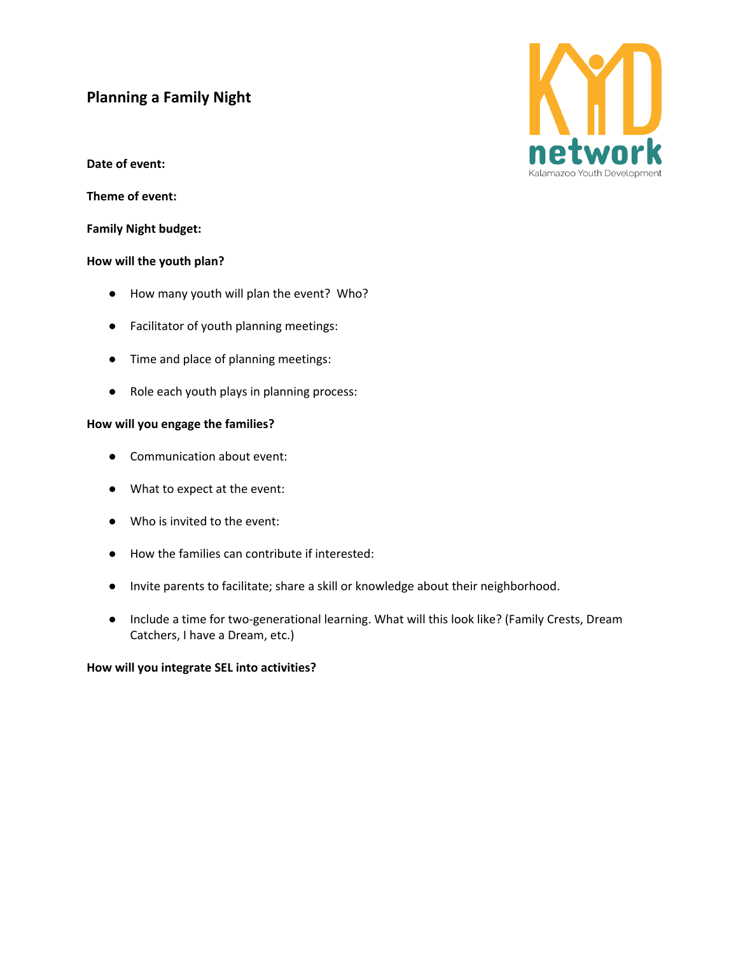## **Planning a Family Night**

**Date of event:**

**Theme of event:**

**Family Night budget:**

#### **How will the youth plan?**

- How many youth will plan the event? Who?
- Facilitator of youth planning meetings:
- Time and place of planning meetings:
- Role each youth plays in planning process:

#### **How will you engage the families?**

- Communication about event:
- What to expect at the event:
- Who is invited to the event:
- How the families can contribute if interested:
- Invite parents to facilitate; share a skill or knowledge about their neighborhood.
- Include a time for two-generational learning. What will this look like? (Family Crests, Dream Catchers, I have a Dream, etc.)

#### **How will you integrate SEL into activities?**

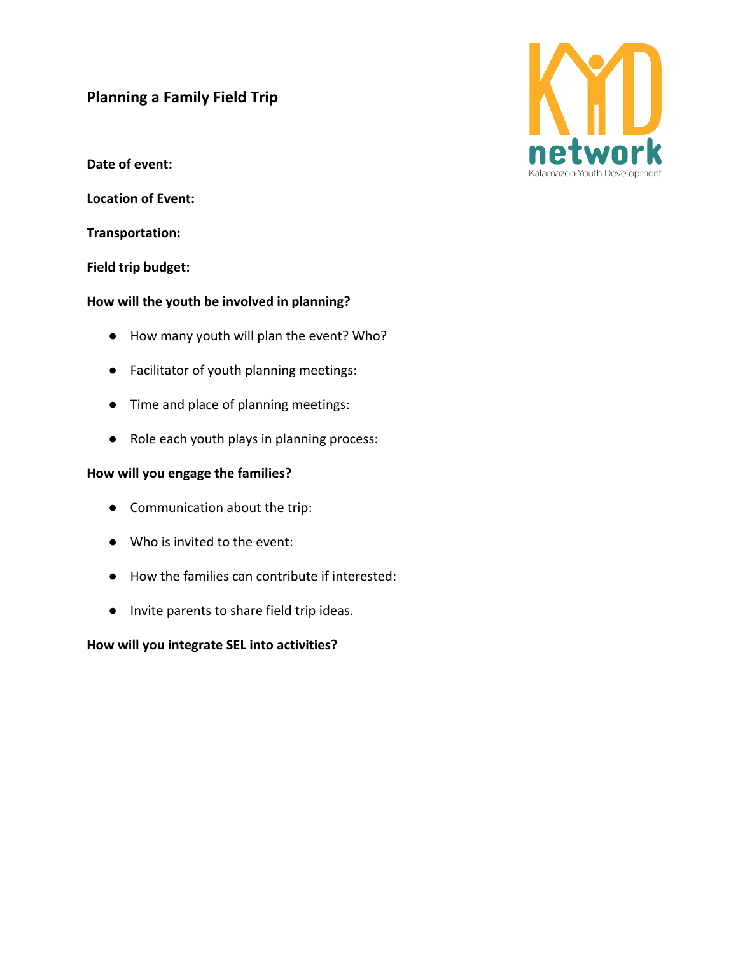# **Planning a Family Field Trip**

**Date of event:**

**Location of Event:**

**Transportation:**

### **Field trip budget:**

## **How will the youth be involved in planning?**

- How many youth will plan the event? Who?
- Facilitator of youth planning meetings:
- Time and place of planning meetings:
- Role each youth plays in planning process:

### **How will you engage the families?**

- Communication about the trip:
- Who is invited to the event:
- How the families can contribute if interested:
- Invite parents to share field trip ideas.

### **How will you integrate SEL into activities?**